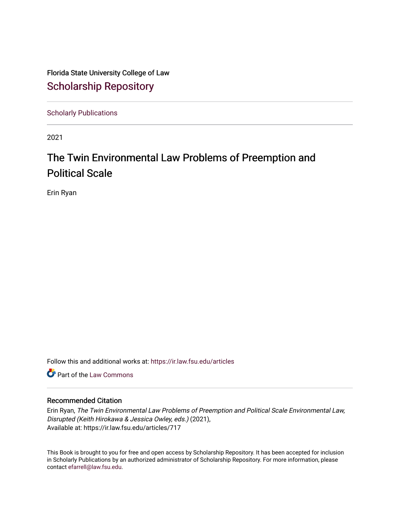Florida State University College of Law [Scholarship Repository](https://ir.law.fsu.edu/) 

[Scholarly Publications](https://ir.law.fsu.edu/articles) 

2021

# The Twin Environmental Law Problems of Preemption and Political Scale

Erin Ryan

Follow this and additional works at: [https://ir.law.fsu.edu/articles](https://ir.law.fsu.edu/articles?utm_source=ir.law.fsu.edu%2Farticles%2F717&utm_medium=PDF&utm_campaign=PDFCoverPages) 

Part of the [Law Commons](https://network.bepress.com/hgg/discipline/578?utm_source=ir.law.fsu.edu%2Farticles%2F717&utm_medium=PDF&utm_campaign=PDFCoverPages)

# Recommended Citation

Erin Ryan, The Twin Environmental Law Problems of Preemption and Political Scale Environmental Law, Disrupted (Keith Hirokawa & Jessica Owley, eds.) (2021), Available at: https://ir.law.fsu.edu/articles/717

This Book is brought to you for free and open access by Scholarship Repository. It has been accepted for inclusion in Scholarly Publications by an authorized administrator of Scholarship Repository. For more information, please contact [efarrell@law.fsu.edu](mailto:efarrell@law.fsu.edu).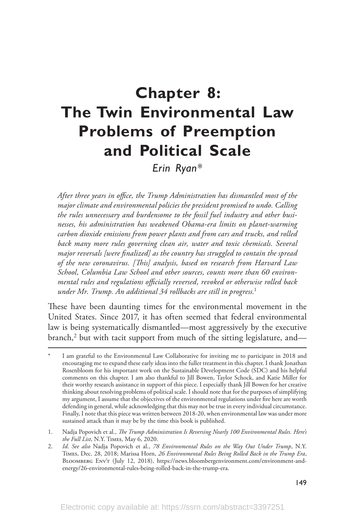# **Chapter 8: The Twin Environmental Law Problems of Preemption and Political Scale**

*Erin Ryan\**

*After three years in office, the Trump Administration has dismantled most of the major climate and environmental policies the president promised to undo. Calling the rules unnecessary and burdensome to the fossil fuel industry and other businesses, his administration has weakened Obama-era limits on planet-warming carbon dioxide emissions from power plants and from cars and trucks, and rolled back many more rules governing clean air, water and toxic chemicals. Several major reversals [were finalized] as the country has struggled to contain the spread of the new coronavirus. [This] analysis, based on research from Harvard Law School, Columbia Law School and other sources, counts more than 60 environmental rules and regulations officially reversed, revoked or otherwise rolled back under Mr. Trump. An additional 34 rollbacks are still in progress.*<sup>1</sup>

These have been daunting times for the environmental movement in the United States. Since 2017, it has often seemed that federal environmental law is being systematically dismantled—most aggressively by the executive branch, $^2$  but with tacit support from much of the sitting legislature, and—

I am grateful to the Environmental Law Collaborative for inviting me to participate in 2018 and encouraging me to expand these early ideas into the fuller treatment in this chapter. I thank Jonathan Rosenbloom for his important work on the Sustainable Development Code (SDC) and his helpful comments on this chapter. I am also thankful to Jill Bowen, Taylor Schock, and Katie Miller for their worthy research assistance in support of this piece. I especially thank Jill Bowen for her creative thinking about resolving problems of political scale. I should note that for the purposes of simplifying my argument, I assume that the objectives of the environmental regulations under fire here are worth defending in general, while acknowledging that this may not be true in every individual circumstance. Finally, I note that this piece was written between 2018-20, when environmental law was under more sustained attack than it may be by the time this book is published.

<sup>1.</sup> Nadja Popovich et al., *The Trump Administration Is Reversing Nearly 100 Environmental Rules. Here's the Full List*, N.Y. Times, May 6, 2020.

<sup>2.</sup> *Id*. *See also* Nadja Popovich et al., *78 Environmental Rules on the Way Out Under Trump*, N.Y. Times, Dec. 28, 2018; Marissa Horn, *26 Environmental Rules Being Rolled Back in the Trump Era*, Bloomberg Env't (July 12, 2018), https://news.bloombergenvironment.com/environment-andenergy/26-environmental-rules-being-rolled-back-in-the-trump-era.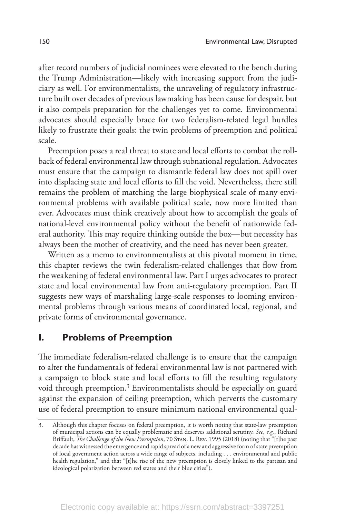after record numbers of judicial nominees were elevated to the bench during the Trump Administration—likely with increasing support from the judiciary as well. For environmentalists, the unraveling of regulatory infrastructure built over decades of previous lawmaking has been cause for despair, but it also compels preparation for the challenges yet to come. Environmental advocates should especially brace for two federalism-related legal hurdles likely to frustrate their goals: the twin problems of preemption and political scale.

Preemption poses a real threat to state and local efforts to combat the rollback of federal environmental law through subnational regulation. Advocates must ensure that the campaign to dismantle federal law does not spill over into displacing state and local efforts to fill the void. Nevertheless, there still remains the problem of matching the large biophysical scale of many environmental problems with available political scale, now more limited than ever. Advocates must think creatively about how to accomplish the goals of national-level environmental policy without the benefit of nationwide federal authority. This may require thinking outside the box—but necessity has always been the mother of creativity, and the need has never been greater.

Written as a memo to environmentalists at this pivotal moment in time, this chapter reviews the twin federalism-related challenges that flow from the weakening of federal environmental law. Part I urges advocates to protect state and local environmental law from anti-regulatory preemption. Part II suggests new ways of marshaling large-scale responses to looming environmental problems through various means of coordinated local, regional, and private forms of environmental governance.

# **I. Problems of Preemption**

The immediate federalism-related challenge is to ensure that the campaign to alter the fundamentals of federal environmental law is not partnered with a campaign to block state and local efforts to fill the resulting regulatory void through preemption.3 Environmentalists should be especially on guard against the expansion of ceiling preemption, which perverts the customary use of federal preemption to ensure minimum national environmental qual-

Although this chapter focuses on federal preemption, it is worth noting that state-law preemption of municipal actions can be equally problematic and deserves additional scrutiny. *See, e.g.*, Richard Briffault, *The Challenge of the New Preemption*, 70 Stan. L. Rev. 1995 (2018) (noting that "[t]he past decade has witnessed the emergence and rapid spread of a new and aggressive form of state preemption of local government action across a wide range of subjects, including . . . environmental and public health regulation," and that "[t]he rise of the new preemption is closely linked to the partisan and ideological polarization between red states and their blue cities").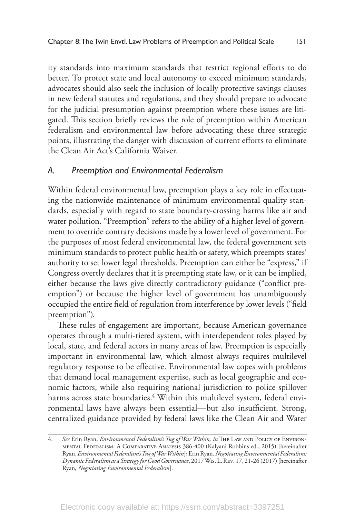ity standards into maximum standards that restrict regional efforts to do better. To protect state and local autonomy to exceed minimum standards, advocates should also seek the inclusion of locally protective savings clauses in new federal statutes and regulations, and they should prepare to advocate for the judicial presumption against preemption where these issues are litigated. This section briefly reviews the role of preemption within American federalism and environmental law before advocating these three strategic points, illustrating the danger with discussion of current efforts to eliminate the Clean Air Act's California Waiver.

#### *A. Preemption and Environmental Federalism*

Within federal environmental law, preemption plays a key role in effectuating the nationwide maintenance of minimum environmental quality standards, especially with regard to state boundary-crossing harms like air and water pollution. "Preemption" refers to the ability of a higher level of government to override contrary decisions made by a lower level of government. For the purposes of most federal environmental law, the federal government sets minimum standards to protect public health or safety, which preempts states' authority to set lower legal thresholds. Preemption can either be "express," if Congress overtly declares that it is preempting state law, or it can be implied, either because the laws give directly contradictory guidance ("conflict preemption") or because the higher level of government has unambiguously occupied the entire field of regulation from interference by lower levels ("field preemption").

These rules of engagement are important, because American governance operates through a multi-tiered system, with interdependent roles played by local, state, and federal actors in many areas of law. Preemption is especially important in environmental law, which almost always requires multilevel regulatory response to be effective. Environmental law copes with problems that demand local management expertise, such as local geographic and economic factors, while also requiring national jurisdiction to police spillover harms across state boundaries.<sup>4</sup> Within this multilevel system, federal environmental laws have always been essential—but also insufficient. Strong, centralized guidance provided by federal laws like the Clean Air and Water

<sup>4.</sup> *See* Erin Ryan, *Environmental Federalism's Tug of War Within, in* The Law and Policy of Environmental Federalism: A Comparative Analysis 386-400 (Kalyani Robbins ed., 2015) [hereinafter Ryan, *Environmental Federalism's Tug of War Within*]; Erin Ryan, *Negotiating Environmental Federalism: Dynamic Federalism as a Strategy for Good Governance*, 2017 Wis. L. Rev. 17, 21-26 (2017) [hereinafter Ryan, *Negotiating Environmental Federalism*].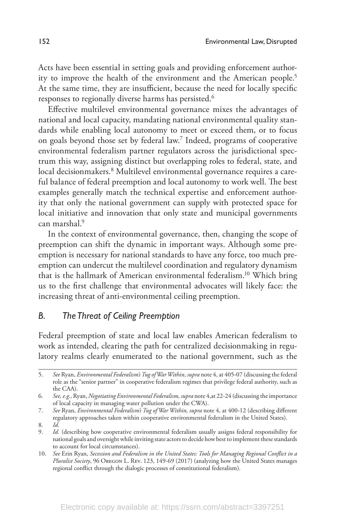Acts have been essential in setting goals and providing enforcement authority to improve the health of the environment and the American people.<sup>5</sup> At the same time, they are insufficient, because the need for locally specific responses to regionally diverse harms has persisted.<sup>6</sup>

Effective multilevel environmental governance mixes the advantages of national and local capacity, mandating national environmental quality standards while enabling local autonomy to meet or exceed them, or to focus on goals beyond those set by federal law.7 Indeed, programs of cooperative environmental federalism partner regulators across the jurisdictional spectrum this way, assigning distinct but overlapping roles to federal, state, and local decisionmakers.<sup>8</sup> Multilevel environmental governance requires a careful balance of federal preemption and local autonomy to work well. The best examples generally match the technical expertise and enforcement authority that only the national government can supply with protected space for local initiative and innovation that only state and municipal governments can marshal<sup>9</sup>

In the context of environmental governance, then, changing the scope of preemption can shift the dynamic in important ways. Although some preemption is necessary for national standards to have any force, too much preemption can undercut the multilevel coordination and regulatory dynamism that is the hallmark of American environmental federalism.10 Which bring us to the first challenge that environmental advocates will likely face: the increasing threat of anti-environmental ceiling preemption.

#### *B. The Threat of Ceiling Preemption*

Federal preemption of state and local law enables American federalism to work as intended, clearing the path for centralized decisionmaking in regulatory realms clearly enumerated to the national government, such as the

8. *Id.* 

<sup>5.</sup> *See* Ryan, *Environmental Federalism's Tug of War Within*, *supra* note 4, at 405-07 (discussing the federal role as the "senior partner" in cooperative federalism regimes that privilege federal authority, such as the CAA).

<sup>6.</sup> *See, e.g.,* Ryan, *Negotiating Environmental Federalism, supra* note 4,at 22-24 (discussing the importance of local capacity in managing water pollution under the CWA).

<sup>7.</sup> *See* Ryan, *Environmental Federalism's Tug of War Within, supra* note 4, at 400-12 (describing different regulatory approaches taken within cooperative environmental federalism in the United States).

<sup>9.</sup> *Id.* (describing how cooperative environmental federalism usually assigns federal responsibility for national goals and oversight while inviting state actors to decide how best to implement these standards to account for local circumstances).

<sup>10.</sup> *See* Erin Ryan, *Secession and Federalism in the United States: Tools for Managing Regional Conflict in a Pluralist Society*, 96 Oregon L. Rev. 123, 149-69 (2017) (analyzing how the United States manages regional conflict through the dialogic processes of constitutional federalism).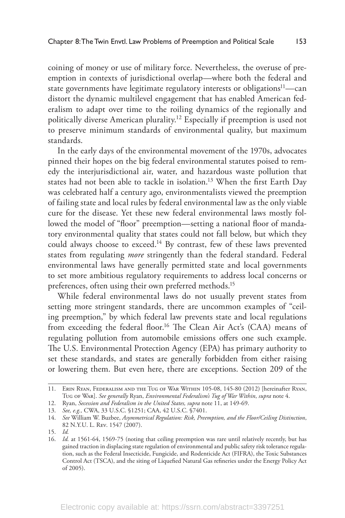coining of money or use of military force. Nevertheless, the overuse of preemption in contexts of jurisdictional overlap—where both the federal and state governments have legitimate regulatory interests or obligations $11$ —can distort the dynamic multilevel engagement that has enabled American federalism to adapt over time to the roiling dynamics of the regionally and politically diverse American plurality.12 Especially if preemption is used not to preserve minimum standards of environmental quality, but maximum standards.

In the early days of the environmental movement of the 1970s, advocates pinned their hopes on the big federal environmental statutes poised to remedy the interjurisdictional air, water, and hazardous waste pollution that states had not been able to tackle in isolation.<sup>13</sup> When the first Earth Day was celebrated half a century ago, environmentalists viewed the preemption of failing state and local rules by federal environmental law as the only viable cure for the disease. Yet these new federal environmental laws mostly followed the model of "floor" preemption—setting a national floor of mandatory environmental quality that states could not fall below, but which they could always choose to exceed.<sup>14</sup> By contrast, few of these laws prevented states from regulating *more* stringently than the federal standard. Federal environmental laws have generally permitted state and local governments to set more ambitious regulatory requirements to address local concerns or preferences, often using their own preferred methods.15

While federal environmental laws do not usually prevent states from setting more stringent standards, there are uncommon examples of "ceiling preemption," by which federal law prevents state and local regulations from exceeding the federal floor.<sup>16</sup> The Clean Air Act's (CAA) means of regulating pollution from automobile emissions offers one such example. The U.S. Environmental Protection Agency (EPA) has primary authority to set these standards, and states are generally forbidden from either raising or lowering them. But even here, there are exceptions. Section 209 of the

<sup>11.</sup> Erin Ryan, Federalism and the Tug of War Within 105-08, 145-80 (2012) [hereinafter Ryan, Tug of War]. *See generally* Ryan, *Environmental Federalism's Tug of War Within*, *supra* note 4.

<sup>12.</sup> Ryan, *Secession and Federalism in the United States, supra* note 11, at 149-69.

<sup>13.</sup> *See, e.g.,* CWA, 33 U.S.C. §1251; CAA, 42 U.S.C. §7401.

<sup>14.</sup> *See* William W. Buzbee, *Asymmetrical Regulation: Risk, Preemption, and the Floor/Ceiling Distinction*, 82 N.Y.U. L. Rev. 1547 (2007).

<sup>15.</sup> *Id.*

<sup>16.</sup> *Id.* at 1561-64, 1569-75 (noting that ceiling preemption was rare until relatively recently, but has gained traction in displacing state regulation of environmental and public safety risk tolerance regulation, such as the Federal Insecticide, Fungicide, and Rodenticide Act (FIFRA), the Toxic Substances Control Act (TSCA), and the siting of Liquefied Natural Gas refineries under the Energy Policy Act of 2005).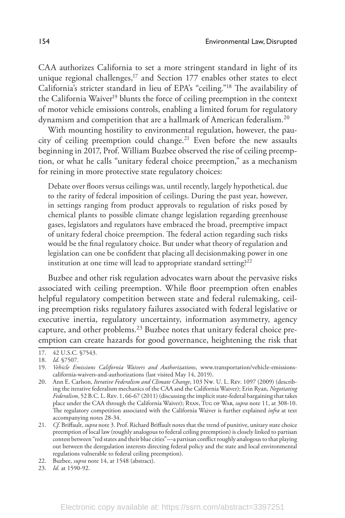CAA authorizes California to set a more stringent standard in light of its unique regional challenges,<sup>17</sup> and Section 177 enables other states to elect California's stricter standard in lieu of EPA's "ceiling."18 The availability of the California Waiver<sup>19</sup> blunts the force of ceiling preemption in the context of motor vehicle emissions controls, enabling a limited forum for regulatory dynamism and competition that are a hallmark of American federalism.20

With mounting hostility to environmental regulation, however, the paucity of ceiling preemption could change.<sup>21</sup> Even before the new assaults beginning in 2017, Prof. William Buzbee observed the rise of ceiling preemption, or what he calls "unitary federal choice preemption," as a mechanism for reining in more protective state regulatory choices:

Debate over floors versus ceilings was, until recently, largely hypothetical, due to the rarity of federal imposition of ceilings. During the past year, however, in settings ranging from product approvals to regulation of risks posed by chemical plants to possible climate change legislation regarding greenhouse gases, legislators and regulators have embraced the broad, preemptive impact of unitary federal choice preemption. The federal action regarding such risks would be the final regulatory choice. But under what theory of regulation and legislation can one be confident that placing all decisionmaking power in one institution at one time will lead to appropriate standard setting? $22$ 

Buzbee and other risk regulation advocates warn about the pervasive risks associated with ceiling preemption. While floor preemption often enables helpful regulatory competition between state and federal rulemaking, ceiling preemption risks regulatory failures associated with federal legislative or executive inertia, regulatory uncertainty, information asymmetry, agency capture, and other problems.23 Buzbee notes that unitary federal choice preemption can create hazards for good governance, heightening the risk that

<sup>17.</sup> 42 U.S.C. §7543.

<sup>18.</sup> *Id*. §7507.

<sup>19.</sup> *Vehicle Emissions California Waivers and Authorizations*, www.transportation/vehicle-emissionscalifornia-waivers-and-authorizations (last visited May 14, 2019).

<sup>20.</sup> Ann E. Carlson, *Iterative Federalism and Climate Change*, 103 Nw. U. L. Rev. 1097 (2009) (describing the iterative federalism mechanics of the CAA and the California Waiver); Erin Ryan, *Negotiating Federalism*, 52 B.C. L. Rev. 1, 66-67 (2011) (discussing the implicit state-federal bargaining that takes place under the CAA through the California Waiver); Ryan, Tug of War, *supra* note 11, at 308-10. The regulatory competition associated with the California Waiver is further explained *infra* at text accompanying notes 28-34.

<sup>21.</sup> *Cf.* Briffault, *supra* note 3. Prof. Richard Briffault notes that the trend of punitive, unitary state choice preemption of local law (roughly analogous to federal ceiling preemption) is closely linked to partisan contest between "red states and their blue cities"—a partisan conflict roughly analogous to that playing out between the deregulation interests directing federal policy and the state and local environmental regulations vulnerable to federal ceiling preemption).

<sup>22.</sup> Buzbee, *supra* note 14, at 1548 (abstract).

<sup>23.</sup> *Id.* at 1590-92.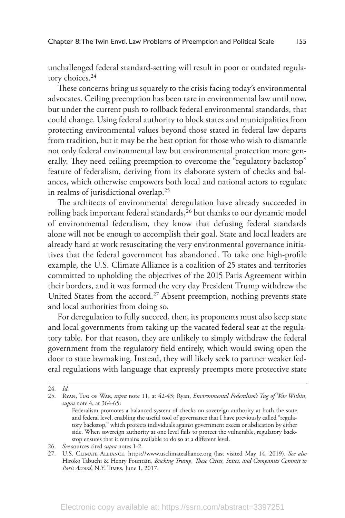unchallenged federal standard-setting will result in poor or outdated regulatory choices.<sup>24</sup>

These concerns bring us squarely to the crisis facing today's environmental advocates. Ceiling preemption has been rare in environmental law until now, but under the current push to rollback federal environmental standards, that could change. Using federal authority to block states and municipalities from protecting environmental values beyond those stated in federal law departs from tradition, but it may be the best option for those who wish to dismantle not only federal environmental law but environmental protection more generally. They need ceiling preemption to overcome the "regulatory backstop" feature of federalism, deriving from its elaborate system of checks and balances, which otherwise empowers both local and national actors to regulate in realms of jurisdictional overlap.25

The architects of environmental deregulation have already succeeded in rolling back important federal standards,<sup>26</sup> but thanks to our dynamic model of environmental federalism, they know that defusing federal standards alone will not be enough to accomplish their goal. State and local leaders are already hard at work resuscitating the very environmental governance initiatives that the federal government has abandoned. To take one high-profile example, the U.S. Climate Alliance is a coalition of 25 states and territories committed to upholding the objectives of the 2015 Paris Agreement within their borders, and it was formed the very day President Trump withdrew the United States from the accord.<sup>27</sup> Absent preemption, nothing prevents state and local authorities from doing so.

For deregulation to fully succeed, then, its proponents must also keep state and local governments from taking up the vacated federal seat at the regulatory table. For that reason, they are unlikely to simply withdraw the federal government from the regulatory field entirely, which would swing open the door to state lawmaking. Instead, they will likely seek to partner weaker federal regulations with language that expressly preempts more protective state

<sup>24.</sup> *Id.*

<sup>25.</sup> Ryan, Tug of War, *supra* note 11, at 42-43; Ryan, *Environmental Federalism's Tug of War Within*, *supra* note 4, at 364-65:

Federalism promotes a balanced system of checks on sovereign authority at both the state and federal level, enabling the useful tool of governance that I have previously called "regulatory backstop," which protects individuals against government excess or abdication by either side. When sovereign authority at one level fails to protect the vulnerable, regulatory backstop ensures that it remains available to do so at a different level.

<sup>26.</sup> *See* sources cited *supra* notes 1-2.

<sup>27.</sup> U.S. Climate Alliance, https://www.usclimatealliance.org (last visited May 14, 2019). *See also* Hiroko Tabuchi & Henry Fountain, *Bucking Trump, These Cities, States, and Companies Commit to Paris Accord*, N.Y. Times, June 1, 2017.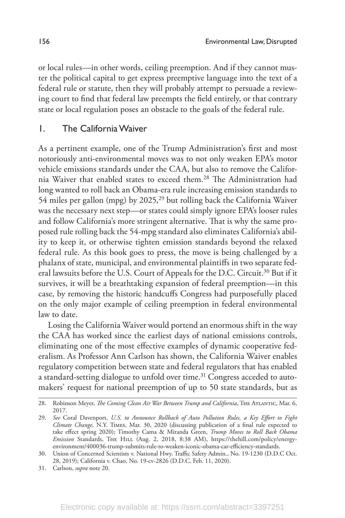or local rules—in other words, ceiling preemption. And if they cannot muster the political capital to get express preemptive language into the text of a federal rule or statute, then they will probably attempt to persuade a reviewing court to find that federal law preempts the field entirely, or that contrary state or local regulation poses an obstacle to the goals of the federal rule.

#### 1. The California Waiver

As a pertinent example, one of the Trump Administration's first and most notoriously anti-environmental moves was to not only weaken EPA's motor vehicle emissions standards under the CAA, but also to remove the California Waiver that enabled states to exceed them.28 The Administration had long wanted to roll back an Obama-era rule increasing emission standards to 54 miles per gallon (mpg) by 2025,<sup>29</sup> but rolling back the California Waiver was the necessary next step—or states could simply ignore EPA's looser rules and follow California's more stringent alternative. That is why the same proposed rule rolling back the 54-mpg standard also eliminates California's ability to keep it, or otherwise tighten emission standards beyond the relaxed federal rule. As this book goes to press, the move is being challenged by a phalanx of state, municipal, and environmental plaintiffs in two separate federal lawsuits before the U.S. Court of Appeals for the D.C. Circuit.<sup>30</sup> But if it survives, it will be a breathtaking expansion of federal preemption—in this case, by removing the historic handcuffs Congress had purposefully placed on the only major example of ceiling preemption in federal environmental law to date.

Losing the California Waiver would portend an enormous shift in the way the CAA has worked since the earliest days of national emissions controls, eliminating one of the most effective examples of dynamic cooperative federalism. As Professor Ann Carlson has shown, the California Waiver enables regulatory competition between state and federal regulators that has enabled a standard-setting dialogue to unfold over time.<sup>31</sup> Congress acceded to automakers' request for national preemption of up to 50 state standards, but as

<sup>28.</sup> Robinson Meyer, *The Coming Clean Air War Between Trump and California*, THE ATLANTIC, Mar. 6, 2017.

<sup>29.</sup> *See* Coral Davenport, *U.S. to Announce Rollback of Auto Pollution Rules, a Key Effort to Fight Climate Change*, N.Y. Times, Mar. 30, 2020 (discussing publication of a final rule expected to take effect spring 2020); Timothy Cama & Miranda Green, *Trump Moves to Roll Back Obama Emission* Standards, The Hill (Aug. 2, 2018, 8:38 AM), https://thehill.com/policy/energyenvironment/400036-trump-submits-rule-to-weaken-iconic-obama-car-efficiency-standards.

<sup>30.</sup> Union of Concerned Scientists v. National Hwy. Traffic Safety Admin., No. 19-1230 (D.D.C Oct. 28, 2019); California v. Chao, No. 19-cv-2826 (D.D.C. Feb. 11, 2020).

<sup>31.</sup> Carlson, *supra* note 20.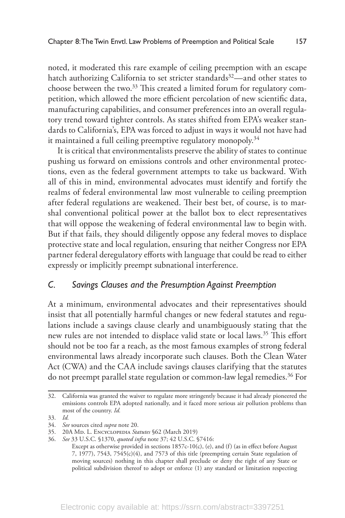noted, it moderated this rare example of ceiling preemption with an escape hatch authorizing California to set stricter standards<sup>32</sup>—and other states to choose between the two.<sup>33</sup> This created a limited forum for regulatory competition, which allowed the more efficient percolation of new scientific data, manufacturing capabilities, and consumer preferences into an overall regulatory trend toward tighter controls. As states shifted from EPA's weaker standards to California's, EPA was forced to adjust in ways it would not have had it maintained a full ceiling preemptive regulatory monopoly.<sup>34</sup>

It is critical that environmentalists preserve the ability of states to continue pushing us forward on emissions controls and other environmental protections, even as the federal government attempts to take us backward. With all of this in mind, environmental advocates must identify and fortify the realms of federal environmental law most vulnerable to ceiling preemption after federal regulations are weakened. Their best bet, of course, is to marshal conventional political power at the ballot box to elect representatives that will oppose the weakening of federal environmental law to begin with. But if that fails, they should diligently oppose any federal moves to displace protective state and local regulation, ensuring that neither Congress nor EPA partner federal deregulatory efforts with language that could be read to either expressly or implicitly preempt subnational interference.

### *C. Savings Clauses and the Presumption Against Preemption*

At a minimum, environmental advocates and their representatives should insist that all potentially harmful changes or new federal statutes and regulations include a savings clause clearly and unambiguously stating that the new rules are not intended to displace valid state or local laws.<sup>35</sup> This effort should not be too far a reach, as the most famous examples of strong federal environmental laws already incorporate such clauses. Both the Clean Water Act (CWA) and the CAA include savings clauses clarifying that the statutes do not preempt parallel state regulation or common-law legal remedies.<sup>36</sup> For

<sup>32.</sup> California was granted the waiver to regulate more stringently because it had already pioneered the emissions controls EPA adopted nationally, and it faced more serious air pollution problems than most of the country. *Id.*

<sup>33.</sup> *Id.*

<sup>34.</sup> *See* sources cited *supra* note 20.

<sup>35.</sup> 20A Md. L. Encyclopedia *Statutes* §62 (March 2019)

<sup>36.</sup> *See* 33 U.S.C. §1370, *quoted infra* note 37; 42 U.S.C. §7416:

Except as otherwise provided in sections 1857c-10(c), (e), and (f) (as in effect before August 7, 1977), 7543, 7545(c)(4), and 7573 of this title (preempting certain State regulation of moving sources) nothing in this chapter shall preclude or deny the right of any State or political subdivision thereof to adopt or enforce (1) any standard or limitation respecting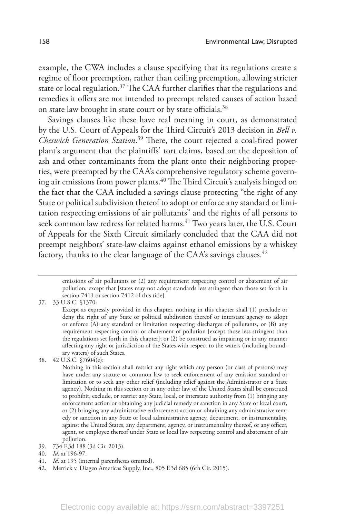example, the CWA includes a clause specifying that its regulations create a regime of floor preemption, rather than ceiling preemption, allowing stricter state or local regulation.<sup>37</sup> The CAA further clarifies that the regulations and remedies it offers are not intended to preempt related causes of action based on state law brought in state court or by state officials.38

Savings clauses like these have real meaning in court, as demonstrated by the U.S. Court of Appeals for the Third Circuit's 2013 decision in *Bell v. Cheswick Generation Station*. <sup>39</sup> There, the court rejected a coal-fired power plant's argument that the plaintiffs' tort claims, based on the deposition of ash and other contaminants from the plant onto their neighboring properties, were preempted by the CAA's comprehensive regulatory scheme governing air emissions from power plants.<sup>40</sup> The Third Circuit's analysis hinged on the fact that the CAA included a savings clause protecting "the right of any State or political subdivision thereof to adopt or enforce any standard or limitation respecting emissions of air pollutants" and the rights of all persons to seek common law redress for related harms.<sup>41</sup> Two years later, the U.S. Court of Appeals for the Sixth Circuit similarly concluded that the CAA did not preempt neighbors' state-law claims against ethanol emissions by a whiskey factory, thanks to the clear language of the CAA's savings clauses.<sup>42</sup>

37. 33 U.S.C. §1370:

41. *Id.* at 195 (internal parentheses omitted).

emissions of air pollutants or (2) any requirement respecting control or abatement of air pollution; except that [states may not adopt standards less stringent than those set forth in section 7411 or section 7412 of this title].

Except as expressly provided in this chapter, nothing in this chapter shall (1) preclude or deny the right of any State or political subdivision thereof or interstate agency to adopt or enforce (A) any standard or limitation respecting discharges of pollutants, or (B) any requirement respecting control or abatement of pollution [except those less stringent than the regulations set forth in this chapter]; or (2) be construed as impairing or in any manner affecting any right or jurisdiction of the States with respect to the waters (including boundary waters) of such States.

<sup>38.</sup> 42 U.S.C. §7604(e):

Nothing in this section shall restrict any right which any person (or class of persons) may have under any statute or common law to seek enforcement of any emission standard or limitation or to seek any other relief (including relief against the Administrator or a State agency). Nothing in this section or in any other law of the United States shall be construed to prohibit, exclude, or restrict any State, local, or interstate authority from (1) bringing any enforcement action or obtaining any judicial remedy or sanction in any State or local court, or (2) bringing any administrative enforcement action or obtaining any administrative remedy or sanction in any State or local administrative agency, department, or instrumentality, against the United States, any department, agency, or instrumentality thereof, or any officer, agent, or employee thereof under State or local law respecting control and abatement of air pollution.

<sup>39.</sup> 734 F.3d 188 (3d Cir. 2013).

<sup>40.</sup> *Id.* at 196-97.

<sup>42.</sup> Merrick v. Diageo Americas Supply, Inc., 805 F.3d 685 (6th Cir. 2015).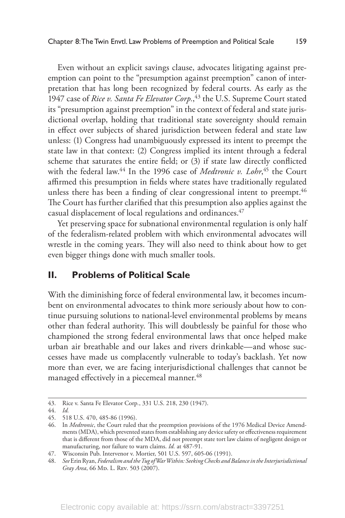Even without an explicit savings clause, advocates litigating against preemption can point to the "presumption against preemption" canon of interpretation that has long been recognized by federal courts. As early as the 1947 case of *Rice v. Santa Fe Elevator Corp.*, 43 the U.S. Supreme Court stated its "presumption against preemption" in the context of federal and state jurisdictional overlap, holding that traditional state sovereignty should remain in effect over subjects of shared jurisdiction between federal and state law unless: (1) Congress had unambiguously expressed its intent to preempt the state law in that context: (2) Congress implied its intent through a federal scheme that saturates the entire field; or (3) if state law directly conflicted with the federal law.44 In the 1996 case of *Medtronic v. Lohr*, 45 the Court affirmed this presumption in fields where states have traditionally regulated unless there has been a finding of clear congressional intent to preempt.<sup>46</sup> The Court has further clarified that this presumption also applies against the casual displacement of local regulations and ordinances.<sup>47</sup>

Yet preserving space for subnational environmental regulation is only half of the federalism-related problem with which environmental advocates will wrestle in the coming years. They will also need to think about how to get even bigger things done with much smaller tools.

# **II. Problems of Political Scale**

With the diminishing force of federal environmental law, it becomes incumbent on environmental advocates to think more seriously about how to continue pursuing solutions to national-level environmental problems by means other than federal authority. This will doubtlessly be painful for those who championed the strong federal environmental laws that once helped make urban air breathable and our lakes and rivers drinkable—and whose successes have made us complacently vulnerable to today's backlash. Yet now more than ever, we are facing interjurisdictional challenges that cannot be managed effectively in a piecemeal manner.<sup>48</sup>

<sup>43.</sup> Rice v. Santa Fe Elevator Corp*.*, 331 U.S. 218, 230 (1947).

<sup>44.</sup> *Id.* 

<sup>45.</sup> 518 U.S. 470, 485-86 (1996).

<sup>46.</sup> In *Medtronic*, the Court ruled that the preemption provisions of the 1976 Medical Device Amendments (MDA), which prevented states from establishing any device safety or effectiveness requirement that is different from those of the MDA, did not preempt state tort law claims of negligent design or manufacturing, nor failure to warn claims. *Id.* at 487-91.

<sup>47.</sup> Wisconsin Pub. Intervenor v. Mortier, 501 U.S. 597, 605-06 (1991).

<sup>48.</sup> *See* Erin Ryan, *Federalism and the Tug of War Within: Seeking Checks and Balance in the Interjurisdictional Gray Area*, 66 Mp. L. Rev. 503 (2007).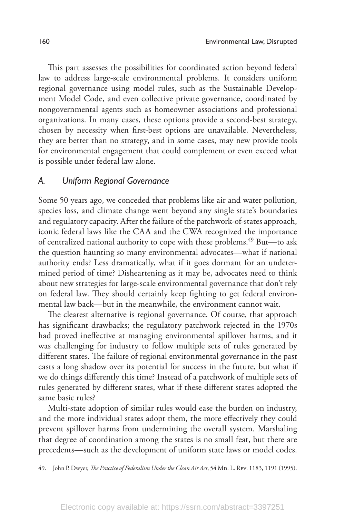This part assesses the possibilities for coordinated action beyond federal law to address large-scale environmental problems. It considers uniform regional governance using model rules, such as the Sustainable Development Model Code, and even collective private governance, coordinated by nongovernmental agents such as homeowner associations and professional organizations. In many cases, these options provide a second-best strategy, chosen by necessity when first-best options are unavailable. Nevertheless, they are better than no strategy, and in some cases, may new provide tools for environmental engagement that could complement or even exceed what is possible under federal law alone.

#### *A. Uniform Regional Governance*

Some 50 years ago, we conceded that problems like air and water pollution, species loss, and climate change went beyond any single state's boundaries and regulatory capacity. After the failure of the patchwork-of-states approach, iconic federal laws like the CAA and the CWA recognized the importance of centralized national authority to cope with these problems.<sup>49</sup> But—to ask the question haunting so many environmental advocates—what if national authority ends? Less dramatically, what if it goes dormant for an undetermined period of time? Disheartening as it may be, advocates need to think about new strategies for large-scale environmental governance that don't rely on federal law. They should certainly keep fighting to get federal environmental law back—but in the meanwhile, the environment cannot wait.

The clearest alternative is regional governance. Of course, that approach has significant drawbacks; the regulatory patchwork rejected in the 1970s had proved ineffective at managing environmental spillover harms, and it was challenging for industry to follow multiple sets of rules generated by different states. The failure of regional environmental governance in the past casts a long shadow over its potential for success in the future, but what if we do things differently this time? Instead of a patchwork of multiple sets of rules generated by different states, what if these different states adopted the same basic rules?

Multi-state adoption of similar rules would ease the burden on industry, and the more individual states adopt them, the more effectively they could prevent spillover harms from undermining the overall system. Marshaling that degree of coordination among the states is no small feat, but there are precedents—such as the development of uniform state laws or model codes.

49. John P. Dwyer, *The Practice of Federalism Under the Clean Air Act*, 54 Mp. L. Rev. 1183, 1191 (1995).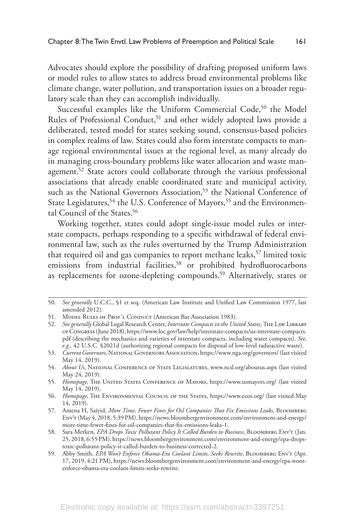Advocates should explore the possibility of drafting proposed uniform laws or model rules to allow states to address broad environmental problems like climate change, water pollution, and transportation issues on a broader regulatory scale than they can accomplish individually.

Successful examples like the Uniform Commercial Code,<sup>50</sup> the Model Rules of Professional Conduct,<sup>51</sup> and other widely adopted laws provide a deliberated, tested model for states seeking sound, consensus-based policies in complex realms of law. States could also form interstate compacts to manage regional environmental issues at the regional level, as many already do in managing cross-boundary problems like water allocation and waste management.<sup>52</sup> State actors could collaborate through the various professional associations that already enable coordinated state and municipal activity, such as the National Governors Association,<sup>53</sup> the National Conference of State Legislatures,<sup>54</sup> the U.S. Conference of Mayors,<sup>55</sup> and the Environmental Council of the States.<sup>56</sup>

Working together, states could adopt single-issue model rules or interstate compacts, perhaps responding to a specific withdrawal of federal environmental law, such as the rules overturned by the Trump Administration that required oil and gas companies to report methane leaks,  $57$  limited toxic emissions from industrial facilities,<sup>58</sup> or prohibited hydrofluorocarbons as replacements for ozone-depleting compounds.<sup>59</sup> Alternatively, states or

<sup>50.</sup> *See generally* U.C.C., §1 et seq. (American Law Institute and Unified Law Commission 1977, last amended 2012).

<sup>51.</sup> MODEL RULES OF PROF'L CONDUCT (American Bar Association 1983).

<sup>52.</sup> *See generally* Global Legal Research Center, *Interstate Compacts in the United States*, The Law Library of Congress (June 2018), https://www.loc.gov/law/help/interstate-compacts/us-interstate-compacts. pdf (describing the mechanics and varieties of interstate compacts, including water compacts). *See, e.g.,* 42 U.S.C. §2021d (authorizing regional compacts for disposal of low-level radioactive waste).

<sup>53.</sup> *Current Governors,* National Governors Association, https://www.nga.org/governors/ (last visited May 14, 2019).

<sup>54.</sup> *About Us*, National Conference of State Legislatures, www.ncsl.org/aboutus.aspx (last visited May 24, 2019).

<sup>55.</sup> *Homepage*, The United States Conference of Mayors, https://www.usmayors.org/ (last visited May 14, 2019).

<sup>56.</sup> *Homepage*, The Environmental Council of the States, https://www.ecos.org/ (last visited May 14, 2019).

<sup>57.</sup> Amena H, Saiyid, *More Time, Fewer Fines for Oil Companies That Fix Emissions Leaks*, Bloomberg Env't (May 4, 2018, 5:39 PM), https://news.bloombergenvironment.com/environment-and-energy/ more-time-fewer-fines-for-oil-companies-that-fix-emissions-leaks-1.

<sup>58.</sup> Sara Merken, *EPA Drops Toxic Pollutant Policy It Called Burden to Business*, Bloomberg Env't (Jan. 25, 2018, 6:55 PM), https://news.bloombergenvironment.com/environment-and-energy/epa-dropstoxic-pollutant-policy-it-called-burden-to-business-corrected-2.

<sup>59.</sup> Abby Smith, *EPA Won't Enforce Obama-Era Coolant Limits, Seeks Rewrite*, Bloomberg Env't (Apr. 17, 2019, 4:21 PM), https://news.bloombergenvironment.com/environment-and-energy/epa-wontenforce-obama-era-coolant-limits-seeks-rewrite.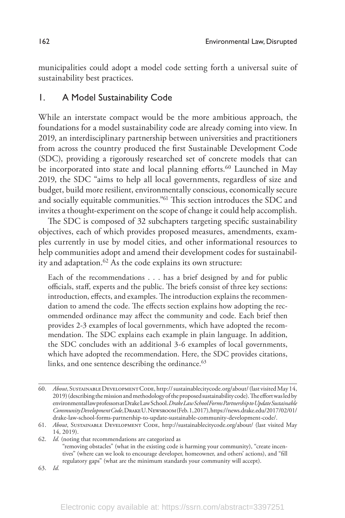municipalities could adopt a model code setting forth a universal suite of sustainability best practices.

# 1. A Model Sustainability Code

While an interstate compact would be the more ambitious approach, the foundations for a model sustainability code are already coming into view. In 2019, an interdisciplinary partnership between universities and practitioners from across the country produced the first Sustainable Development Code (SDC), providing a rigorously researched set of concrete models that can be incorporated into state and local planning efforts.<sup>60</sup> Launched in May 2019, the SDC "aims to help all local governments, regardless of size and budget, build more resilient, environmentally conscious, economically secure and socially equitable communities."61 This section introduces the SDC and invites a thought-experiment on the scope of change it could help accomplish.

The SDC is composed of 32 subchapters targeting specific sustainability objectives, each of which provides proposed measures, amendments, examples currently in use by model cities, and other informational resources to help communities adopt and amend their development codes for sustainability and adaptation.<sup>62</sup> As the code explains its own structure:

Each of the recommendations . . . has a brief designed by and for public officials, staff, experts and the public. The briefs consist of three key sections: introduction, effects, and examples. The introduction explains the recommendation to amend the code. The effects section explains how adopting the recommended ordinance may affect the community and code. Each brief then provides 2-3 examples of local governments, which have adopted the recommendation. The SDC explains each example in plain language. In addition, the SDC concludes with an additional 3-6 examples of local governments, which have adopted the recommendation. Here, the SDC provides citations, links, and one sentence describing the ordinance.<sup>63</sup>

<sup>60.</sup> *About*, Sustainable Development Code, http:// sustainablecitycode.org/about/ (last visited May 14, 2019) (describing the mission and methodology of the proposed sustainability code). The effort was led by environmental law professors at Drake Law School. *Drake Law School Forms Partnership to Update Sustainable Community Development Code*, Drake U. Newsroom (Feb. 1, 2017), https://news.drake.edu/2017/02/01/ drake-law-school-forms-partnership-to-update-sustainable-community-development-code/.

<sup>61.</sup> *About*, Sustainable Development Code, http://sustainablecitycode.org/about/ (last visited May 14, 2019).

<sup>62.</sup> *Id.* (noting that recommendations are categorized as "removing obstacles" (what in the existing code is harming your community), "create incentives" (where can we look to encourage developer, homeowner, and others' actions), and "fill regulatory gaps" (what are the minimum standards your community will accept). 63. *Id.*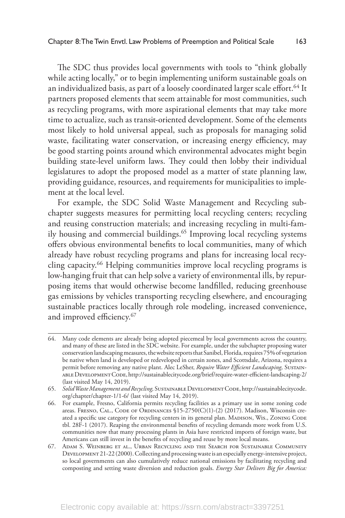The SDC thus provides local governments with tools to "think globally while acting locally," or to begin implementing uniform sustainable goals on an individualized basis, as part of a loosely coordinated larger scale effort.<sup>64</sup> It partners proposed elements that seem attainable for most communities, such as recycling programs, with more aspirational elements that may take more time to actualize, such as transit-oriented development. Some of the elements most likely to hold universal appeal, such as proposals for managing solid waste, facilitating water conservation, or increasing energy efficiency, may be good starting points around which environmental advocates might begin building state-level uniform laws. They could then lobby their individual legislatures to adopt the proposed model as a matter of state planning law, providing guidance, resources, and requirements for municipalities to implement at the local level.

For example, the SDC Solid Waste Management and Recycling subchapter suggests measures for permitting local recycling centers; recycling and reusing construction materials; and increasing recycling in multi-family housing and commercial buildings.<sup>65</sup> Improving local recycling systems offers obvious environmental benefits to local communities, many of which already have robust recycling programs and plans for increasing local recycling capacity.66 Helping communities improve local recycling programs is low-hanging fruit that can help solve a variety of environmental ills, by repurposing items that would otherwise become landfilled, reducing greenhouse gas emissions by vehicles transporting recycling elsewhere, and encouraging sustainable practices locally through role modeling, increased convenience, and improved efficiency.67

<sup>64.</sup> Many code elements are already being adopted piecemeal by local governments across the country, and many of these are listed in the SDC website. For example, under the subchapter proposing water conservation landscaping measures, the website reports that Sanibel, Florida, requires 75% of vegetation be native when land is developed or redeveloped in certain zones, and Scottsdale, Arizona, requires a permit before removing any native plant. Alec LeSher, *Require Water Efficient Landscaping,* Sustainable Development Code, http://sustainablecitycode.org/brief/require-water-efficient-landscaping-2/ (last visited May 14, 2019).

<sup>65.</sup> Solid Waste Management and Recycling, SUSTAINABLE DEVELOPMENT CODE, http://sustainablecitycode. org/chapter/chapter-1/1-6/ (last visited May 14, 2019).

<sup>66.</sup> For example, Fresno, California permits recycling facilities as a primary use in some zoning code areas. FRESNO, CAL., CODE OF ORDINANCES  $$15-2750(C)(1)-(2)(2017)$ . Madison, Wisconsin created a specific use category for recycling centers in its general plan. MADISON, WIS., ZONING CODE tbl. 28F-1 (2017). Reaping the environmental benefits of recycling demands more work from U.S. communities now that many processing plants in Asia have restricted imports of foreign waste, but Americans can still invest in the benefits of recycling and reuse by more local means.

<sup>67.</sup> Adam S. Weinberg et al., Urban Recycling and the Search for Sustainable Community Development 21-22 (2000). Collecting and processing waste is an especially energy-intensive project, so local governments can also cumulatively reduce national emissions by facilitating recycling and composting and setting waste diversion and reduction goals. *Energy Star Delivers Big for America:*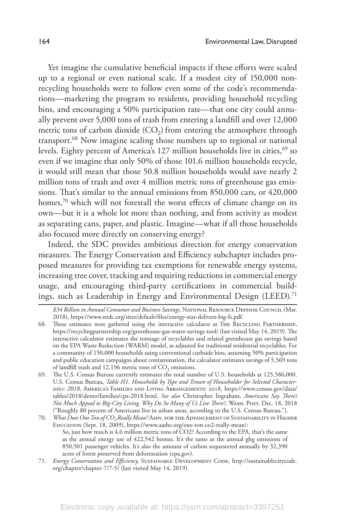Yet imagine the cumulative beneficial impacts if these efforts were scaled up to a regional or even national scale. If a modest city of 150,000 nonrecycling households were to follow even some of the code's recommendations—marketing the program to residents, providing household recycling bins, and encouraging a 50% participation rate—that one city could annually prevent over 5,000 tons of trash from entering a landfill and over 12,000 metric tons of carbon dioxide  $(CO<sub>2</sub>)$  from entering the atmosphere through transport.68 Now imagine scaling those numbers up to regional or national levels. Eighty percent of America's 127 million households live in cities, <sup>69</sup> so even if we imagine that only 50% of those 101.6 million households recycle, it would still mean that those 50.8 million households would save nearly 2 million tons of trash and over 4 million metric tons of greenhouse gas emissions. That's similar to the annual emissions from 850,000 cars, or 420,000 homes,<sup>70</sup> which will not forestall the worst effects of climate change on its own—but it is a whole lot more than nothing, and from activity as modest as separating cans, paper, and plastic. Imagine—what if all those households also focused more directly on conserving energy?

Indeed, the SDC provides ambitious direction for energy conservation measures. The Energy Conservation and Efficiency subchapter includes proposed measures for providing tax exemptions for renewable energy systems, increasing tree cover, tracking and requiring reductions in commercial energy usage, and encouraging third-party certifications in commercial buildings, such as Leadership in Energy and Environmental Design (LEED).<sup>71</sup>

- 68. These estimates were gathered using the interactive calculator at The Recycling Partnership, https://recyclingpartnership.org/greenhouse-gas-water-savings-tool/ (last visited May 14, 2019). The interactive calculator estimates the tonnage of recyclables and related greenhouse gas savings based on the EPA Waste Reduction (WARM) model, as adjusted for traditional residential recyclables. For a community of 150,000 households using conventional curbside bins, assuming 50% participation and public education campaigns about contamination, the calculator estimates savings of 5,569 tons of landfill trash and 12,196 metric tons of CO<sub>2</sub> emissions.
- 69. The U.S. Census Bureau currently estimates the total number of U.S. households at 125,586,000. U.S. Census Bureau, *Table H1. Households by Type and Tenure of Householder for Selected Characteristics: 2018*, America's Families and Living Arrangements: 2018, https://www.census.gov/data/ tables/2018/demo/families/cps-2018.html. *See also* Christopher Ingraham, *Americans Say There's Not Much Appeal to Big-City Living. Why Do So Many of Us Live There?,* Wash. Post, Dec. 18, 2018 ("Roughly 80 percent of Americans live in urban areas, according to the U.S. Census Bureau.").

70. *What Does One Ton of CO<sub>2</sub> Really Mean?* Assn. FOR THE ADVANCEMENT OF SUSTAINABILITY IN HIGHER Education (Sept. 18, 2009), https://www.aashe.org/one-ton-co2-really-mean/: So, just how much is 4.6 million metric tons of CO2? According to the EPA, that's the same as the annual energy use of 422,542 homes. It's the same as the annual ghg emissions of 850,501 passenger vehicles. It's also the amount of carbon sequestered annually by 32,390 acres of forest preserved from deforestation (epa.gov).

*<sup>\$34</sup> Billion in Annual Consumer and Business Savings*, National Resource Defense Council (Mar. 2018), https://www.nrdc.org/sites/default/files/energy-star-delivers-big-fs.pdf.

<sup>71.</sup> *Energy Conservation and Efficiency,* Sustainable Development Code, http://sustainablecitycode. org/chapter/chapter-7/7-5/ (last visited May 14, 2019).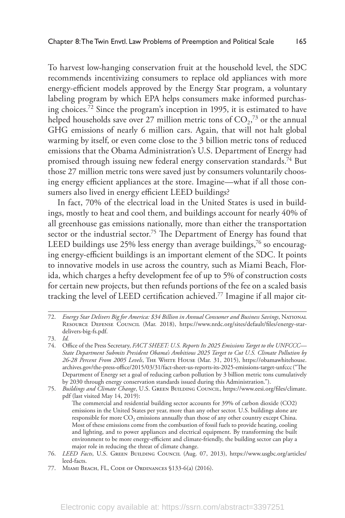To harvest low-hanging conservation fruit at the household level, the SDC recommends incentivizing consumers to replace old appliances with more energy-efficient models approved by the Energy Star program, a voluntary labeling program by which EPA helps consumers make informed purchasing choices.72 Since the program's inception in 1995, it is estimated to have helped households save over 27 million metric tons of  $CO<sub>2</sub>$ ,<sup>73</sup> or the annual GHG emissions of nearly 6 million cars. Again, that will not halt global warming by itself, or even come close to the 3 billion metric tons of reduced emissions that the Obama Administration's U.S. Department of Energy had promised through issuing new federal energy conservation standards.<sup>74</sup> But those 27 million metric tons were saved just by consumers voluntarily choosing energy efficient appliances at the store. Imagine—what if all those consumers also lived in energy efficient LEED buildings?

In fact, 70% of the electrical load in the United States is used in buildings, mostly to heat and cool them, and buildings account for nearly 40% of all greenhouse gas emissions nationally, more than either the transportation sector or the industrial sector.<sup>75</sup> The Department of Energy has found that LEED buildings use  $25%$  less energy than average buildings,<sup>76</sup> so encouraging energy-efficient buildings is an important element of the SDC. It points to innovative models in use across the country, such as Miami Beach, Florida, which charges a hefty development fee of up to 5% of construction costs for certain new projects, but then refunds portions of the fee on a scaled basis tracking the level of LEED certification achieved.77 Imagine if all major cit-

<sup>72.</sup> *Energy Star Delivers Big for America: \$34 Billion in Annual Consumer and Business Savings*, National RESOURCE DEFENSE COUNCIL (Mar. 2018), https://www.nrdc.org/sites/default/files/energy-stardelivers-big-fs.pdf.

<sup>73.</sup> *Id.* 

<sup>74.</sup> Office of the Press Secretary, *FACT SHEET: U.S. Reports Its 2025 Emissions Target to the UNFCCC— State Department Submits President Obama's Ambitious 2025 Target to Cut U.S. Climate Pollution by 26-28 Percent From 2005 Levels*, The White House (Mar. 31, 2015), https://obamawhitehouse. archives.gov/the-press-office/2015/03/31/fact-sheet-us-reports-its-2025-emissions-target-unfccc ("The Department of Energy set a goal of reducing carbon pollution by 3 billion metric tons cumulatively by 2030 through energy conservation standards issued during this Administration.").

<sup>75.</sup> *Buildings and Climate Change*, U.S. GREEN BUILDING COUNCIL, https://www.eesi.org/files/climate. pdf (last visited May 14, 2019):

The commercial and residential building sector accounts for 39% of carbon dioxide (CO2) emissions in the United States per year, more than any other sector. U.S. buildings alone are responsible for more  $CO<sub>2</sub>$  emissions annually than those of any other country except China. Most of these emissions come from the combustion of fossil fuels to provide heating, cooling and lighting, and to power appliances and electrical equipment. By transforming the built environment to be more energy-efficient and climate-friendly, the building sector can play a major role in reducing the threat of climate change.

<sup>76.</sup> *LEED Facts*, U.S. Green Building Council (Aug. 07, 2013), https://www.usgbc.org/articles/ leed-facts.

<sup>77.</sup> Miami Beach, FL, Code of Ordinances §133-6(a) (2016).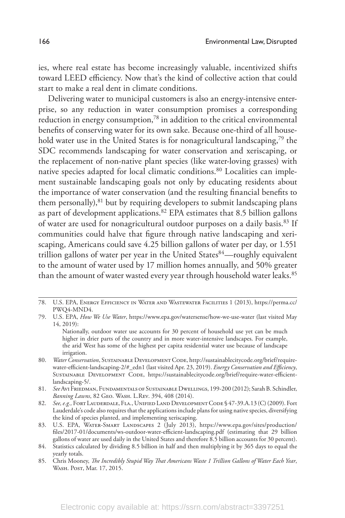ies, where real estate has become increasingly valuable, incentivized shifts toward LEED efficiency. Now that's the kind of collective action that could start to make a real dent in climate conditions.

Delivering water to municipal customers is also an energy-intensive enterprise, so any reduction in water consumption promises a corresponding reduction in energy consumption,<sup>78</sup> in addition to the critical environmental benefits of conserving water for its own sake. Because one-third of all household water use in the United States is for nonagricultural landscaping,<sup>79</sup> the SDC recommends landscaping for water conservation and xeriscaping, or the replacement of non-native plant species (like water-loving grasses) with native species adapted for local climatic conditions.80 Localities can implement sustainable landscaping goals not only by educating residents about the importance of water conservation (and the resulting financial benefits to them personally),<sup>81</sup> but by requiring developers to submit landscaping plans as part of development applications.82 EPA estimates that 8.5 billion gallons of water are used for nonagricultural outdoor purposes on a daily basis.<sup>83</sup> If communities could halve that figure through native landscaping and xeriscaping, Americans could save 4.25 billion gallons of water per day, or 1.551 trillion gallons of water per year in the United States $84$ —roughly equivalent to the amount of water used by 17 million homes annually, and 50% greater than the amount of water wasted every year through household water leaks.<sup>85</sup>

85. Chris Mooney, *The Incredibly Stupid Way That Americans Waste 1 Trillion Gallons of Water Each Year*, WASH. POST, Mar. 17, 2015.

<sup>78.</sup> U.S. EPA, Energy Efficiency in Water and Wastewater Facilities 1 (2013), https://perma.cc/ PWQ4-MND4.

<sup>79.</sup> U.S. EPA, *How We Use Water*, https://www.epa.gov/watersense/how-we-use-water (last visited May 14, 2019):

Nationally, outdoor water use accounts for 30 percent of household use yet can be much higher in drier parts of the country and in more water-intensive landscapes. For example, the arid West has some of the highest per capita residential water use because of landscape irrigation.

<sup>80.</sup> Water Conservation, SUSTAINABLE DEVELOPMENT CODE, http://sustainablecitycode.org/brief/requirewater-efficient-landscaping-2/#\_edn1 (last visited Apr. 23, 2019). *Energy Conservation and Efficiency*, Sustainable Development Code, https://sustainablecitycode.org/brief/require-water-efficientlandscaping-5/.

<sup>81.</sup> *See* Avi Friedman, Fundamentals of Sustainable Dwellings, 199-200 (2012); Sarah B. Schindler, *Banning Lawns*, 82 Geo. Wash. L.Rev. 394, 408 (2014).

<sup>82.</sup> See, e.g., Fort Lauderdale, Fla., Unified Land Development Code § 47-39.A.13 (C) (2009). Fort Lauderdale's code also requires that the applications include plans for using native species, diversifying the kind of species planted, and implementing xeriscaping.

<sup>83.</sup> U.S. EPA, Water-Smart Landscapes 2 (July 2013), https://www.epa.gov/sites/production/ files/2017-01/documents/ws-outdoor-water-efficient-landscaping.pdf (estimating that 29 billion gallons of water are used daily in the United States and therefore 8.5 billion accounts for 30 percent).

<sup>84.</sup> Statistics calculated by dividing 8.5 billion in half and then multiplying it by 365 days to equal the yearly totals.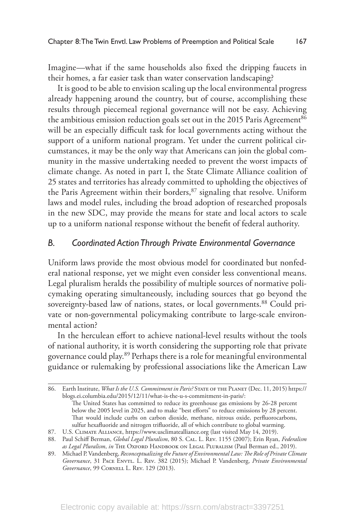Imagine—what if the same households also fixed the dripping faucets in their homes, a far easier task than water conservation landscaping?

It is good to be able to envision scaling up the local environmental progress already happening around the country, but of course, accomplishing these results through piecemeal regional governance will not be easy. Achieving the ambitious emission reduction goals set out in the 2015 Paris Agreement<sup>86</sup> will be an especially difficult task for local governments acting without the support of a uniform national program. Yet under the current political circumstances, it may be the only way that Americans can join the global community in the massive undertaking needed to prevent the worst impacts of climate change. As noted in part I, the State Climate Alliance coalition of 25 states and territories has already committed to upholding the objectives of the Paris Agreement within their borders,<sup>87</sup> signaling that resolve. Uniform laws and model rules, including the broad adoption of researched proposals in the new SDC, may provide the means for state and local actors to scale up to a uniform national response without the benefit of federal authority.

#### *B. Coordinated Action Through Private Environmental Governance*

Uniform laws provide the most obvious model for coordinated but nonfederal national response, yet we might even consider less conventional means. Legal pluralism heralds the possibility of multiple sources of normative policymaking operating simultaneously, including sources that go beyond the sovereignty-based law of nations, states, or local governments.<sup>88</sup> Could private or non-governmental policymaking contribute to large-scale environmental action?

In the herculean effort to achieve national-level results without the tools of national authority, it is worth considering the supporting role that private governance could play.89 Perhaps there is a role for meaningful environmental guidance or rulemaking by professional associations like the American Law

<sup>86.</sup> Earth Institute, *What Is the U.S. Commitment in Paris?* State of the Planet (Dec. 11, 2015) https:// blogs.ei.columbia.edu/2015/12/11/what-is-the-u-s-commitment-in-paris/:

The United States has committed to reduce its greenhouse gas emissions by 26-28 percent below the 2005 level in 2025, and to make "best efforts" to reduce emissions by 28 percent. That would include curbs on carbon dioxide, methane, nitrous oxide, perfluorocarbons, sulfur hexafluoride and nitrogen trifluoride, all of which contribute to global warming.

<sup>87.</sup> U.S. CLIMATE ALLIANCE, https://www.usclimatealliance.org (last visited May 14, 2019).

<sup>88.</sup> Paul Schiff Berman, *Global Legal Pluralism*, 80 S. Cal. L. Rev. 1155 (2007); Erin Ryan, *Federalism as Legal Pluralism*, *in* The Oxford Handbook on Legal Pluralism (Paul Berman ed., 2019).

<sup>89.</sup> Michael P. Vandenberg, *Reconceptualizing the Future of Environmental Law: The Role of Private Climate*  Governance, 31 PACE ENVTL. L. REV. 382 (2015); Michael P. Vandenberg, *Private Environmental* Governance, 99 CORNELL L. REV. 129 (2013).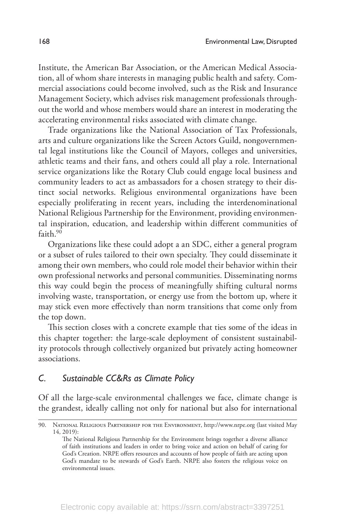Institute, the American Bar Association, or the American Medical Association, all of whom share interests in managing public health and safety. Commercial associations could become involved, such as the Risk and Insurance Management Society, which advises risk management professionals throughout the world and whose members would share an interest in moderating the accelerating environmental risks associated with climate change.

Trade organizations like the National Association of Tax Professionals, arts and culture organizations like the Screen Actors Guild, nongovernmental legal institutions like the Council of Mayors, colleges and universities, athletic teams and their fans, and others could all play a role. International service organizations like the Rotary Club could engage local business and community leaders to act as ambassadors for a chosen strategy to their distinct social networks. Religious environmental organizations have been especially proliferating in recent years, including the interdenominational National Religious Partnership for the Environment, providing environmental inspiration, education, and leadership within different communities of faith 90

Organizations like these could adopt a an SDC, either a general program or a subset of rules tailored to their own specialty. They could disseminate it among their own members, who could role model their behavior within their own professional networks and personal communities. Disseminating norms this way could begin the process of meaningfully shifting cultural norms involving waste, transportation, or energy use from the bottom up, where it may stick even more effectively than norm transitions that come only from the top down.

This section closes with a concrete example that ties some of the ideas in this chapter together: the large-scale deployment of consistent sustainability protocols through collectively organized but privately acting homeowner associations.

### *C. Sustainable CC&Rs as Climate Policy*

Of all the large-scale environmental challenges we face, climate change is the grandest, ideally calling not only for national but also for international

<sup>90.</sup> National Religious Partnership for the Environment, http://www.nrpe.org (last visited May 14, 2019):

The National Religious Partnership for the Environment brings together a diverse alliance of faith institutions and leaders in order to bring voice and action on behalf of caring for God's Creation. NRPE offers resources and accounts of how people of faith are acting upon God's mandate to be stewards of God's Earth. NRPE also fosters the religious voice on environmental issues.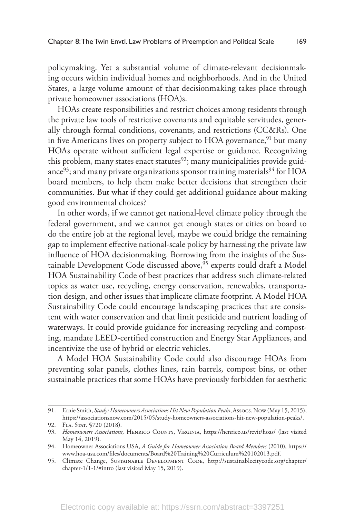policymaking. Yet a substantial volume of climate-relevant decisionmaking occurs within individual homes and neighborhoods. And in the United States, a large volume amount of that decisionmaking takes place through private homeowner associations (HOA)s.

HOAs create responsibilities and restrict choices among residents through the private law tools of restrictive covenants and equitable servitudes, generally through formal conditions, covenants, and restrictions (CC&Rs). One in five Americans lives on property subject to HOA governance,  $91$  but many HOAs operate without sufficient legal expertise or guidance. Recognizing this problem, many states enact statutes<sup>92</sup>; many municipalities provide guidance $93$ ; and many private organizations sponsor training materials $94$  for HOA board members, to help them make better decisions that strengthen their communities. But what if they could get additional guidance about making good environmental choices?

In other words, if we cannot get national-level climate policy through the federal government, and we cannot get enough states or cities on board to do the entire job at the regional level, maybe we could bridge the remaining gap to implement effective national-scale policy by harnessing the private law influence of HOA decisionmaking. Borrowing from the insights of the Sustainable Development Code discussed above,<sup>95</sup> experts could draft a Model HOA Sustainability Code of best practices that address such climate-related topics as water use, recycling, energy conservation, renewables, transportation design, and other issues that implicate climate footprint. A Model HOA Sustainability Code could encourage landscaping practices that are consistent with water conservation and that limit pesticide and nutrient loading of waterways. It could provide guidance for increasing recycling and composting, mandate LEED-certified construction and Energy Star Appliances, and incentivize the use of hybrid or electric vehicles.

A Model HOA Sustainability Code could also discourage HOAs from preventing solar panels, clothes lines, rain barrels, compost bins, or other sustainable practices that some HOAs have previously forbidden for aesthetic

<sup>91.</sup> Ernie Smith, *Study: Homeowners Associations Hit New Population Peaks*, Assocs. Now (May 15, 2015), https://associationsnow.com/2015/05/study-homeowners-associations-hit-new-population-peaks/.

<sup>92.</sup> FLA. STAT. §720 (2018).

<sup>93.</sup> *Homeowners Associations,* Henrico County, Virginia, https://henrico.us/revit/hoas/ (last visited May 14, 2019).

<sup>94.</sup> Homeowner Associations USA, *A Guide for Homeowner Association Board Members* (2010), https:// www.hoa-usa.com/files/documents/Board%20Training%20Curriculum%20102013.pdf.

<sup>95.</sup> Climate Change, SUSTAINABLE DEVELOPMENT CODE, http://sustainablecitycode.org/chapter/ chapter-1/1-1/#intro (last visited May 15, 2019).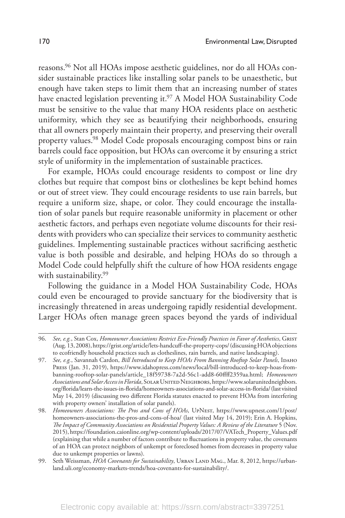reasons.96 Not all HOAs impose aesthetic guidelines, nor do all HOAs consider sustainable practices like installing solar panels to be unaesthetic, but enough have taken steps to limit them that an increasing number of states have enacted legislation preventing it.<sup>97</sup> A Model HOA Sustainability Code must be sensitive to the value that many HOA residents place on aesthetic uniformity, which they see as beautifying their neighborhoods, ensuring that all owners properly maintain their property, and preserving their overall property values.98 Model Code proposals encouraging compost bins or rain barrels could face opposition, but HOAs can overcome it by ensuring a strict style of uniformity in the implementation of sustainable practices.

For example, HOAs could encourage residents to compost or line dry clothes but require that compost bins or clotheslines be kept behind homes or out of street view. They could encourage residents to use rain barrels, but require a uniform size, shape, or color. They could encourage the installation of solar panels but require reasonable uniformity in placement or other aesthetic factors, and perhaps even negotiate volume discounts for their residents with providers who can specialize their services to community aesthetic guidelines. Implementing sustainable practices without sacrificing aesthetic value is both possible and desirable, and helping HOAs do so through a Model Code could helpfully shift the culture of how HOA residents engage with sustainability.<sup>99</sup>

Following the guidance in a Model HOA Sustainability Code, HOAs could even be encouraged to provide sanctuary for the biodiversity that is increasingly threatened in areas undergoing rapidly residential development. Larger HOAs often manage green spaces beyond the yards of individual

<sup>96.</sup> *See, e.g.*, Stan Cox, *Homeowner Associations Restrict Eco-Friendly Practices in Favor of Aesthetics*, Grist (Aug. 13, 2008), https://grist.org/article/lets-handcuff-the-property-cops/ (discussing HOA objections to ecofriendly household practices such as clotheslines, rain barrels, and native landscaping).

<sup>97.</sup> See, e.g., Savannah Cardon, *Bill Introduced to Keep HOAs From Banning Rooftop Solar Panels*, IDAHO Press (Jan. 31, 2019), https://www.idahopress.com/news/local/bill-introduced-to-keep-hoas-frombanning-rooftop-solar-panels/article\_18f59738-7a2d-56c1-add8-60ffff2359aa.html; *Homeowners Associations and Solar Access in Florida*, Solar United Neighbors, https://www.solarunitedneighbors. org/florida/learn-the-issues-in-florida/homeowners-associations-and-solar-access-in-florida/ (last visited May 14, 2019) (discussing two different Florida statutes enacted to prevent HOAs from interfering with property owners' installation of solar panels).

<sup>98.</sup> *Homeowners Associations: The Pros and Cons of HOAs*, UpNest, https://www.upnest.com/1/post/ homeowners-associations-the-pros-and-cons-of-hoa/ (last visited May 14, 2019); Erin A. Hopkins, *The Impact of Community Associations on Residential Property Values: A Review of the Literature* 5 (Nov. 2015), https://foundation.caionline.org/wp-content/uploads/2017/07/VATech\_Property\_Values.pdf (explaining that while a number of factors contribute to fluctuations in property value, the covenants of an HOA can protect neighbors of unkempt or foreclosed homes from decreases in property value due to unkempt properties or lawns).

<sup>99.</sup> Seth Weissman, *HOA Covenants for Sustainability*, URBAN LAND MAG., Mar. 8, 2012, https://urbanland.uli.org/economy-markets-trends/hoa-covenants-for-sustainability/.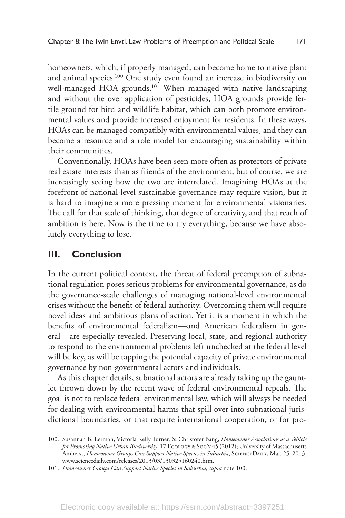homeowners, which, if properly managed, can become home to native plant and animal species.100 One study even found an increase in biodiversity on well-managed HOA grounds.<sup>101</sup> When managed with native landscaping and without the over application of pesticides, HOA grounds provide fertile ground for bird and wildlife habitat, which can both promote environmental values and provide increased enjoyment for residents. In these ways, HOAs can be managed compatibly with environmental values, and they can become a resource and a role model for encouraging sustainability within their communities.

Conventionally, HOAs have been seen more often as protectors of private real estate interests than as friends of the environment, but of course, we are increasingly seeing how the two are interrelated. Imagining HOAs at the forefront of national-level sustainable governance may require vision, but it is hard to imagine a more pressing moment for environmental visionaries. The call for that scale of thinking, that degree of creativity, and that reach of ambition is here. Now is the time to try everything, because we have absolutely everything to lose.

#### **III. Conclusion**

In the current political context, the threat of federal preemption of subnational regulation poses serious problems for environmental governance, as do the governance-scale challenges of managing national-level environmental crises without the benefit of federal authority. Overcoming them will require novel ideas and ambitious plans of action. Yet it is a moment in which the benefits of environmental federalism—and American federalism in general—are especially revealed. Preserving local, state, and regional authority to respond to the environmental problems left unchecked at the federal level will be key, as will be tapping the potential capacity of private environmental governance by non-governmental actors and individuals.

As this chapter details, subnational actors are already taking up the gauntlet thrown down by the recent wave of federal environmental repeals. The goal is not to replace federal environmental law, which will always be needed for dealing with environmental harms that spill over into subnational jurisdictional boundaries, or that require international cooperation, or for pro-

<sup>100.</sup> Susannah B. Lerman, Victoria Kelly Turner, & Christofer Bang, *Homeowner Associations as a Vehicle for Promoting Native Urban Biodiversity*, 17 Ecology & Soc'y 45 (2012); University of Massachusetts Amherst, *Homeowner Groups Can Support Native Species in Suburbia*, ScienceDaily, Mar. 25, 2013, www.sciencedaily.com/releases/2013/03/130325160240.htm.

<sup>101.</sup> *Homeowner Groups Can Support Native Species in Suburbia*, *supra* note 100.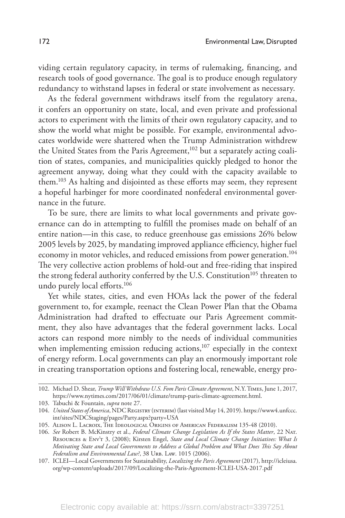viding certain regulatory capacity, in terms of rulemaking, financing, and research tools of good governance. The goal is to produce enough regulatory redundancy to withstand lapses in federal or state involvement as necessary.

As the federal government withdraws itself from the regulatory arena, it confers an opportunity on state, local, and even private and professional actors to experiment with the limits of their own regulatory capacity, and to show the world what might be possible. For example, environmental advocates worldwide were shattered when the Trump Administration withdrew the United States from the Paris Agreement,<sup>102</sup> but a separately acting coalition of states, companies, and municipalities quickly pledged to honor the agreement anyway, doing what they could with the capacity available to them.103 As halting and disjointed as these efforts may seem, they represent a hopeful harbinger for more coordinated nonfederal environmental governance in the future.

To be sure, there are limits to what local governments and private governance can do in attempting to fulfill the promises made on behalf of an entire nation—in this case, to reduce greenhouse gas emissions 26% below 2005 levels by 2025, by mandating improved appliance efficiency, higher fuel economy in motor vehicles, and reduced emissions from power generation.<sup>104</sup> The very collective action problems of hold-out and free-riding that inspired the strong federal authority conferred by the U.S. Constitution<sup>105</sup> threaten to undo purely local efforts.106

Yet while states, cities, and even HOAs lack the power of the federal government to, for example, reenact the Clean Power Plan that the Obama Administration had drafted to effectuate our Paris Agreement commitment, they also have advantages that the federal government lacks. Local actors can respond more nimbly to the needs of individual communities when implementing emission reducing actions,<sup>107</sup> especially in the context of energy reform. Local governments can play an enormously important role in creating transportation options and fostering local, renewable, energy pro-

<sup>102.</sup> Michael D. Shear, *Trump Will Withdraw U.S. Fom Paris Climate Agreement*, N.Y. Times, June 1, 2017, https://www.nytimes.com/2017/06/01/climate/trump-paris-climate-agreement.html.

<sup>103.</sup> Tabuchi & Fountain, *supra* note 27.

<sup>104.</sup> *United States of America*, NDC Registry (interim) (last visited May 14, 2019). https://www4.unfccc. int/sites/NDCStaging/pages/Party.aspx?party=USA

<sup>105.</sup> Alison L. Lacroix, The Ideological Origins of American Federalism 135-48 (2010).

<sup>106.</sup> *See* Robert B. McKinstry et al., *Federal Climate Change Legislation As If the States Matter*, 22 Nat. Resources & Env't 3, (2008); Kirsten Engel, *State and Local Climate Change Initiatives: What Is Motivating State and Local Governments to Address a Global Problem and What Does This Say About*  Federalism and Environmental Law?, 38 URB. LAW. 1015 (2006).

<sup>107.</sup> ICLEI—Local Governments for Sustainability, *Localizing the Paris Agreement* (2017), http://icleiusa. org/wp-content/uploads/2017/09/Localizing-the-Paris-Agreement-ICLEI-USA-2017.pdf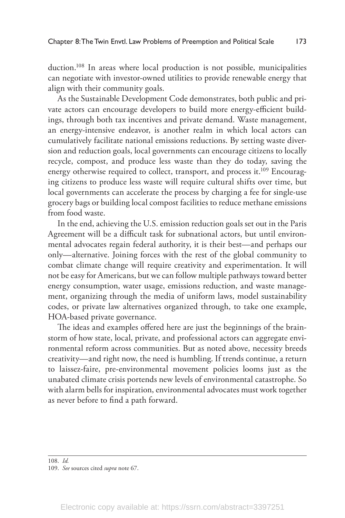duction.<sup>108</sup> In areas where local production is not possible, municipalities can negotiate with investor-owned utilities to provide renewable energy that align with their community goals.

As the Sustainable Development Code demonstrates, both public and private actors can encourage developers to build more energy-efficient buildings, through both tax incentives and private demand. Waste management, an energy-intensive endeavor, is another realm in which local actors can cumulatively facilitate national emissions reductions. By setting waste diversion and reduction goals, local governments can encourage citizens to locally recycle, compost, and produce less waste than they do today, saving the energy otherwise required to collect, transport, and process it.<sup>109</sup> Encouraging citizens to produce less waste will require cultural shifts over time, but local governments can accelerate the process by charging a fee for single-use grocery bags or building local compost facilities to reduce methane emissions from food waste.

In the end, achieving the U.S. emission reduction goals set out in the Paris Agreement will be a difficult task for subnational actors, but until environmental advocates regain federal authority, it is their best—and perhaps our only—alternative. Joining forces with the rest of the global community to combat climate change will require creativity and experimentation. It will not be easy for Americans, but we can follow multiple pathways toward better energy consumption, water usage, emissions reduction, and waste management, organizing through the media of uniform laws, model sustainability codes, or private law alternatives organized through, to take one example, HOA-based private governance.

The ideas and examples offered here are just the beginnings of the brainstorm of how state, local, private, and professional actors can aggregate environmental reform across communities. But as noted above, necessity breeds creativity—and right now, the need is humbling. If trends continue, a return to laissez-faire, pre-environmental movement policies looms just as the unabated climate crisis portends new levels of environmental catastrophe. So with alarm bells for inspiration, environmental advocates must work together as never before to find a path forward.

<sup>108.</sup> *Id.* 

<sup>109.</sup> *See* sources cited *supra* note 67.